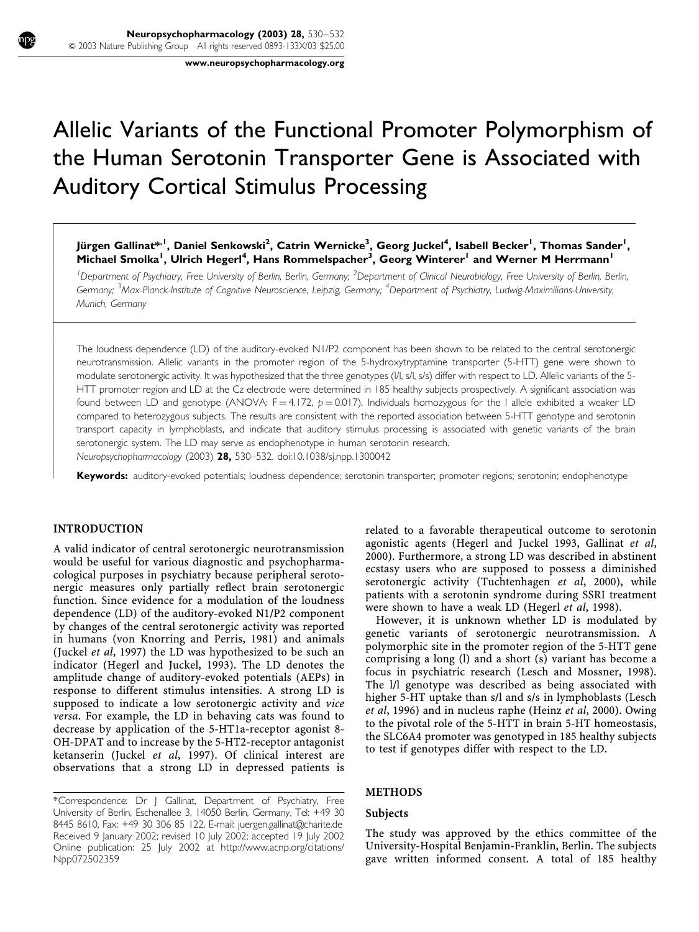www.neuropsychopharmacology.org

# Allelic Variants of the Functional Promoter Polymorphism of the Human Serotonin Transporter Gene is Associated with Auditory Cortical Stimulus Processing

Jürgen Gallinat\*<sup>, I</sup>, Daniel Senkowski<sup>2</sup>, Catrin Wernicke<sup>3</sup>, Georg Juckel<sup>4</sup>, Isabell Becker<sup>!</sup>, Thomas Sander<sup>!</sup>, Michael Smolka<sup>l</sup>, Ulrich Hegerl<sup>4</sup>, Hans Rommelspacher<sup>3</sup>, Georg Winterer<sup>l</sup> and Werner M Herrmann<sup>l</sup>

<sup>1</sup> Department of Psychiatry, Free University of Berlin, Berlin, Germany; <sup>2</sup> Department of Clinical Neurobiology, Free University of Berlin, Berlin, Germany; <sup>3</sup>Max-Planck-Institute of Cognitive Neuroscience, Leipzig, Germany; <sup>4</sup>Department of Psychiatry, Ludwig-Maximilians-University, Munich, Germany

The loudness dependence (LD) of the auditory-evoked N1/P2 component has been shown to be related to the central serotonergic neurotransmission. Allelic variants in the promoter region of the 5-hydroxytryptamine transporter (5-HTT) gene were shown to modulate serotonergic activity. It was hypothesized that the three genotypes (l/l, s/l, s/s) differ with respect to LD. Allelic variants of the 5- HTT promoter region and LD at the Cz electrode were determined in 185 healthy subjects prospectively. A significant association was found between LD and genotype (ANOVA:  $F = 4.172$ ,  $p = 0.017$ ). Individuals homozygous for the I allele exhibited a weaker LD compared to heterozygous subjects. The results are consistent with the reported association between 5-HTT genotype and serotonin transport capacity in lymphoblasts, and indicate that auditory stimulus processing is associated with genetic variants of the brain serotonergic system. The LD may serve as endophenotype in human serotonin research.

Neuropsychopharmacology (2003) 28, 530-532. doi:10.1038/sj.npp.1300042

Keywords: auditory-evoked potentials; loudness dependence; serotonin transporter; promoter regions; serotonin; endophenotype

# INTRODUCTION

ŕ I

ł I I I I I

ł I I I I I

ł I I I I I

I

A valid indicator of central serotonergic neurotransmission would be useful for various diagnostic and psychopharmacological purposes in psychiatry because peripheral serotonergic measures only partially reflect brain serotonergic function. Since evidence for a modulation of the loudness dependence (LD) of the auditory-evoked N1/P2 component by changes of the central serotonergic activity was reported in humans (von Knorring and Perris, 1981) and animals (Juckel et al, 1997) the LD was hypothesized to be such an indicator (Hegerl and Juckel, 1993). The LD denotes the amplitude change of auditory-evoked potentials (AEPs) in response to different stimulus intensities. A strong LD is supposed to indicate a low serotonergic activity and *vice* versa. For example, the LD in behaving cats was found to decrease by application of the 5-HT1a-receptor agonist 8- OH-DPAT and to increase by the 5-HT2-receptor antagonist ketanserin (Juckel et al, 1997). Of clinical interest are observations that a strong LD in depressed patients is

related to a favorable therapeutical outcome to serotonin agonistic agents (Hegerl and Juckel 1993, Gallinat et al, 2000). Furthermore, a strong LD was described in abstinent ecstasy users who are supposed to possess a diminished serotonergic activity (Tuchtenhagen et al, 2000), while patients with a serotonin syndrome during SSRI treatment were shown to have a weak LD (Hegerl et al, 1998).

However, it is unknown whether LD is modulated by genetic variants of serotonergic neurotransmission. A polymorphic site in the promoter region of the 5-HTT gene comprising a long (l) and a short (s) variant has become a focus in psychiatric research (Lesch and Mossner, 1998). The l/l genotype was described as being associated with higher 5-HT uptake than s/l and s/s in lymphoblasts (Lesch et al, 1996) and in nucleus raphe (Heinz et al, 2000). Owing to the pivotal role of the 5-HTT in brain 5-HT homeostasis, the SLC6A4 promoter was genotyped in 185 healthy subjects to test if genotypes differ with respect to the LD.

# METHODS

#### Subjects

The study was approved by the ethics committee of the University-Hospital Benjamin-Franklin, Berlin. The subjects gave written informed consent. A total of 185 healthy

Online publication: 25 July 2002 at http://www.acnp.org/citations/ Npp072502359 Received 9 January 2002; revised 10 July 2002; accepted 19 July 2002 \*Correspondence: Dr J Gallinat, Department of Psychiatry, Free University of Berlin, Eschenallee 3, 14050 Berlin, Germany, Tel: +49 30 8445 8610, Fax: +49 30 306 85 122, E-mail: juergen.gallinat@charite.de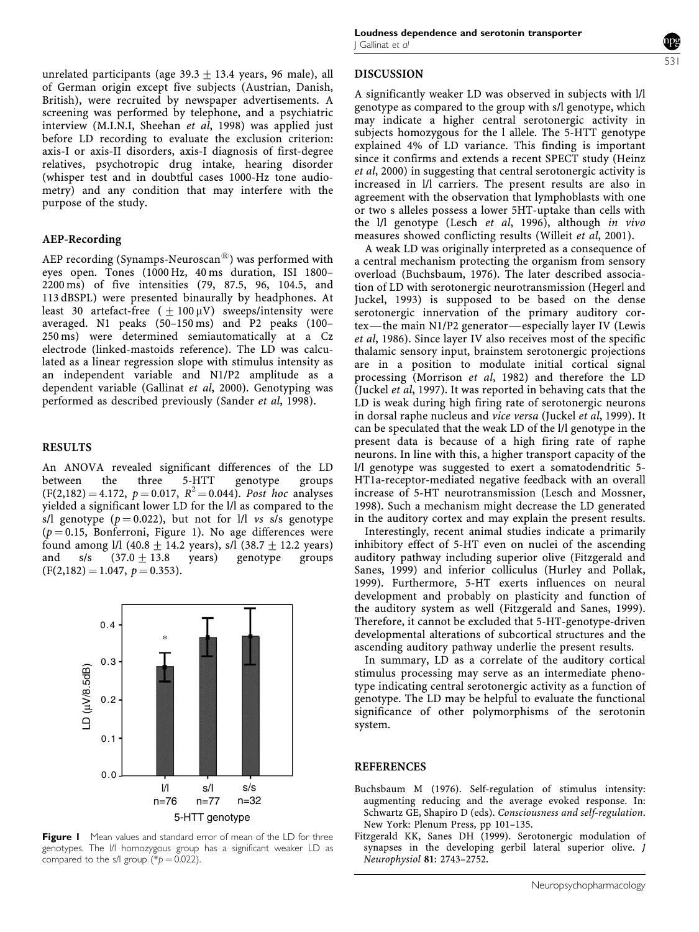unrelated participants (age  $39.3 \pm 13.4$  years, 96 male), all of German origin except five subjects (Austrian, Danish, British), were recruited by newspaper advertisements. A screening was performed by telephone, and a psychiatric interview (M.I.N.I, Sheehan et al, 1998) was applied just before LD recording to evaluate the exclusion criterion: axis-I or axis-II disorders, axis-I diagnosis of first-degree relatives, psychotropic drug intake, hearing disorder (whisper test and in doubtful cases 1000-Hz tone audiometry) and any condition that may interfere with the purpose of the study.

## AEP-Recording

AEP recording (Synamps-Neuroscan<sup>®</sup>) was performed with eyes open. Tones (1000 Hz, 40 ms duration, ISI 1800– 2200 ms) of five intensities (79, 87.5, 96, 104.5, and 113 dBSPL) were presented binaurally by headphones. At least 30 artefact-free ( $\pm 100 \,\mu$ V) sweeps/intensity were averaged. N1 peaks (50–150 ms) and P2 peaks (100– 250 ms) were determined semiautomatically at a Cz electrode (linked-mastoids reference). The LD was calculated as a linear regression slope with stimulus intensity as an independent variable and N1/P2 amplitude as a dependent variable (Gallinat et al, 2000). Genotyping was performed as described previously (Sander et al, 1998).

### RESULTS

An ANOVA revealed significant differences of the LD<br>between the three 5-HTT genotype groups between the three 5-HTT genotype  $(F(2,182) = 4.172, p = 0.017, R^2 = 0.044)$ . Post hoc analyses yielded a significant lower LD for the l/l as compared to the s/l genotype ( $p = 0.022$ ), but not for l/l vs s/s genotype  $(p = 0.15,$  Bonferroni, Figure 1). No age differences were found among  $1/1$  (40.8  $\pm$  14.2 years), s/l (38.7  $\pm$  12.2 years) and  $s/s$  (37.0  $\pm$  13.8 years) genotype groups  $(F(2,182) = 1.047, p = 0.353).$ 



Figure I Mean values and standard error of mean of the LD for three genotypes. The l/l homozygous group has a significant weaker LD as compared to the s/l group ( $p = 0.022$ ).

## DISCUSSION

A significantly weaker LD was observed in subjects with l/l genotype as compared to the group with s/l genotype, which may indicate a higher central serotonergic activity in subjects homozygous for the l allele. The 5-HTT genotype explained 4% of LD variance. This finding is important since it confirms and extends a recent SPECT study (Heinz et al, 2000) in suggesting that central serotonergic activity is increased in l/l carriers. The present results are also in agreement with the observation that lymphoblasts with one or two s alleles possess a lower 5HT-uptake than cells with the  $1/l$  genotype (Lesch et al, 1996), although in vivo measures showed conflicting results (Willeit et al, 2001).

A weak LD was originally interpreted as a consequence of a central mechanism protecting the organism from sensory overload (Buchsbaum, 1976). The later described association of LD with serotonergic neurotransmission (Hegerl and Juckel, 1993) is supposed to be based on the dense serotonergic innervation of the primary auditory cor $text$ —the main N1/P2 generator—especially layer IV (Lewis et al, 1986). Since layer IV also receives most of the specific thalamic sensory input, brainstem serotonergic projections are in a position to modulate initial cortical signal processing (Morrison et al, 1982) and therefore the LD (Juckel et al, 1997). It was reported in behaving cats that the LD is weak during high firing rate of serotonergic neurons in dorsal raphe nucleus and vice versa (Juckel et al, 1999). It can be speculated that the weak LD of the l/l genotype in the present data is because of a high firing rate of raphe neurons. In line with this, a higher transport capacity of the l/l genotype was suggested to exert a somatodendritic 5- HT1a-receptor-mediated negative feedback with an overall increase of 5-HT neurotransmission (Lesch and Mossner, 1998). Such a mechanism might decrease the LD generated in the auditory cortex and may explain the present results.

Interestingly, recent animal studies indicate a primarily inhibitory effect of 5-HT even on nuclei of the ascending auditory pathway including superior olive (Fitzgerald and Sanes, 1999) and inferior colliculus (Hurley and Pollak, 1999). Furthermore, 5-HT exerts influences on neural development and probably on plasticity and function of the auditory system as well (Fitzgerald and Sanes, 1999). Therefore, it cannot be excluded that 5-HT-genotype-driven developmental alterations of subcortical structures and the ascending auditory pathway underlie the present results.

In summary, LD as a correlate of the auditory cortical stimulus processing may serve as an intermediate phenotype indicating central serotonergic activity as a function of genotype. The LD may be helpful to evaluate the functional significance of other polymorphisms of the serotonin system.

### REFERENCES

- Buchsbaum M (1976). Self-regulation of stimulus intensity: augmenting reducing and the average evoked response. In: Schwartz GE, Shapiro D (eds). Consciousness and self-regulation. New York: Plenum Press, pp 101–135.
- Fitzgerald KK, Sanes DH (1999). Serotonergic modulation of synapses in the developing gerbil lateral superior olive. J Neurophysiol 81: 2743–2752.